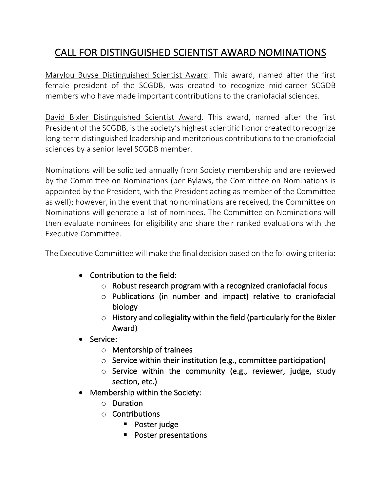## CALL FOR DISTINGUISHED SCIENTIST AWARD NOMINATIONS

Marylou Buyse Distinguished Scientist Award. This award, named after the first female president of the SCGDB, was created to recognize mid-career SCGDB members who have made important contributions to the craniofacial sciences.

David Bixler Distinguished Scientist Award. This award, named after the first President of the SCGDB, is the society's highest scientific honor created to recognize long-term distinguished leadership and meritorious contributions to the craniofacial sciences by a senior level SCGDB member.

Nominations will be solicited annually from Society membership and are reviewed by the Committee on Nominations (per Bylaws, the Committee on Nominations is appointed by the President, with the President acting as member of the Committee as well); however, in the event that no nominations are received, the Committee on Nominations will generate a list of nominees. The Committee on Nominations will then evaluate nominees for eligibility and share their ranked evaluations with the Executive Committee.

The Executive Committee will make the final decision based on the following criteria:

- Contribution to the field:
	- o Robust research program with a recognized craniofacial focus
	- o Publications (in number and impact) relative to craniofacial biology
	- $\circ$  History and collegiality within the field (particularly for the Bixler Award)
- Service:
	- o Mentorship of trainees
	- $\circ$  Service within their institution (e.g., committee participation)
	- $\circ$  Service within the community (e.g., reviewer, judge, study section, etc.)
- Membership within the Society:
	- o Duration
	- $\circ$  Contributions
		- Poster judge
		- **•** Poster presentations